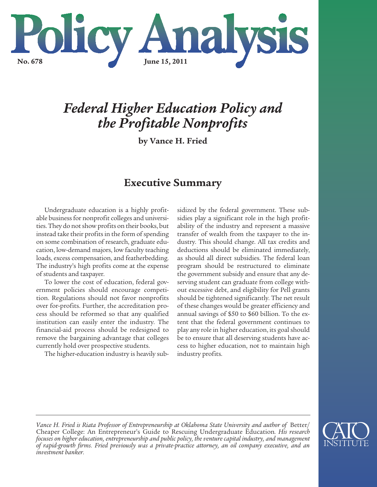

# *Federal Higher Education Policy and the Profitable Nonprofits*

**by Vance H. Fried**

# **Executive Summary**

Undergraduate education is a highly profitable business for nonprofit colleges and universities. They do not show profits on their books, but instead take their profits in the form of spending on some combination of research, graduate education, low-demand majors, low faculty teaching loads, excess compensation, and featherbedding. The industry's high profits come at the expense of students and taxpayer.

To lower the cost of education, federal government policies should encourage competition. Regulations should not favor nonprofits over for-profits. Further, the accreditation process should be reformed so that any qualified institution can easily enter the industry. The financial-aid process should be redesigned to remove the bargaining advantage that colleges currently hold over prospective students.

The higher-education industry is heavily sub-

sidized by the federal government. These subsidies play a significant role in the high profitability of the industry and represent a massive transfer of wealth from the taxpayer to the industry. This should change. All tax credits and deductions should be eliminated immediately, as should all direct subsidies. The federal loan program should be restructured to eliminate the government subsidy and ensure that any deserving student can graduate from college without excessive debt, and eligibility for Pell grants should be tightened significantly. The net result of these changes would be greater efficiency and annual savings of \$50 to \$60 billion. To the extent that the federal government continues to play any role in higher education, its goal should be to ensure that all deserving students have access to higher education, not to maintain high industry profits.



*Vance H. Fried is Riata Professor of Entrepreneurship at Oklahoma State University and author of* Better/ Cheaper College: An Entrepreneur's Guide to Rescuing Undergraduate Education*. His research focuses on higher education, entrepreneurship and public policy, the venture capital industry, and management of rapid-growth firms. Fried previously was a private-practice attorney, an oil company executive, and an investment banker.*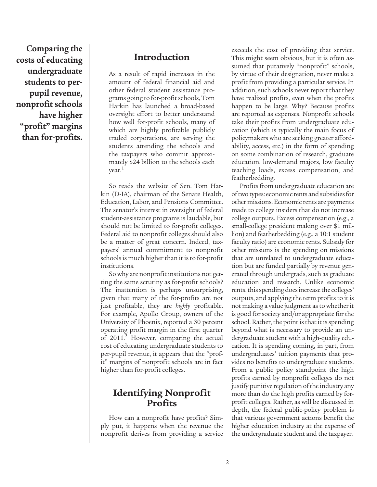**Comparing the costs of educating undergraduate students to perpupil revenue, nonprofit schools have higher "profit" margins than for-profits.**

### **Introduction**

As a result of rapid increases in the amount of federal financial aid and other federal student assistance programs going to for-profit schools, Tom Harkin has launched a broad-based oversight effort to better understand how well for-profit schools, many of which are highly profitable publicly traded corporations, are serving the students attending the schools and the taxpayers who commit approximately \$24 billion to the schools each year.1

So reads the website of Sen. Tom Harkin (D-IA), chairman of the Senate Health, Education, Labor, and Pensions Committee. The senator's interest in oversight of federal student-assistance programs is laudable, but should not be limited to for-profit colleges. Federal aid to nonprofit colleges should also be a matter of great concern. Indeed, taxpayers' annual commitment to nonprofit schools is much higher than it is to for-profit institutions.

So why are nonprofit institutions not getting the same scrutiny as for-profit schools? The inattention is perhaps unsurprising, given that many of the for-profits are not just profitable, they are *highly* profitable. For example, Apollo Group, owners of the University of Phoenix, reported a 30 percent operating profit margin in the first quarter of 2011.<sup>2</sup> However, comparing the actual cost of educating undergraduate students to per-pupil revenue, it appears that the "profit" margins of nonprofit schools are in fact higher than for-profit colleges.

## **Identifying Nonprofit Profits**

How can a nonprofit have profits? Simply put, it happens when the revenue the nonprofit derives from providing a service exceeds the cost of providing that service. This might seem obvious, but it is often assumed that putatively "nonprofit" schools, by virtue of their designation, never make a profit from providing a particular service. In addition, such schools never report that they have realized profits, even when the profits happen to be large. Why? Because profits are reported as expenses. Nonprofit schools take their profits from undergraduate education (which is typically the main focus of policymakers who are seeking greater affordability, access, etc.) in the form of spending on some combination of research, graduate education, low-demand majors, low faculty teaching loads, excess compensation, and featherbedding.

Profits from undergraduate education are of two types: economic rents and subsidies for other missions. Economic rents are payments made to college insiders that do not increase college outputs. Excess compensation (e.g., a small-college president making over \$1 million) and featherbedding (e.g., a 10:1 student faculty ratio) are economic rents. Subsidy for other missions is the spending on missions that are unrelated to undergraduate education but are funded partially by revenue generated through undergrads, such as graduate education and research. Unlike economic rents, this spending does increase the colleges' outputs, and applying the term profits to it is not making a value judgment as to whether it is good for society and/or appropriate for the school. Rather, the point is that it is spending beyond what is necessary to provide an undergraduate student with a high-quality education. It is spending coming, in part, from undergraduates' tuition payments that provides no benefits to undergraduate students. From a public policy standpoint the high profits earned by nonprofit colleges do not justify punitive regulation of the industry any more than do the high profits earned by forprofit colleges. Rather, as will be discussed in depth, the federal public-policy problem is that various government actions benefit the higher education industry at the expense of the undergraduate student and the taxpayer.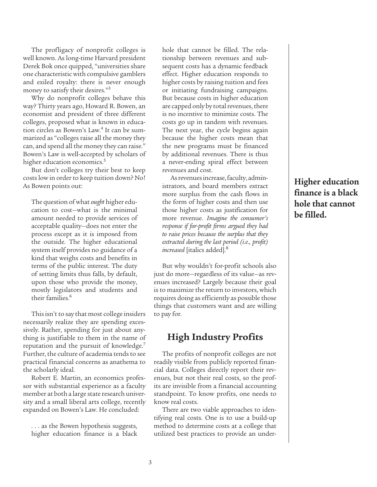The profligacy of nonprofit colleges is well known. As long-time Harvard president Derek Bok once quipped, "universities share one characteristic with compulsive gamblers and exiled royalty: there is never enough money to satisfy their desires."3

Why do nonprofit colleges behave this way? Thirty years ago, Howard R. Bowen, an economist and president of three different colleges, proposed what is known in education circles as Bowen's Law.<sup>4</sup> It can be summarized as "colleges raise all the money they can, and spend all the money they can raise." Bowen's Law is well-accepted by scholars of higher education economics.<sup>5</sup>

But don't colleges try their best to keep costs low in order to keep tuition down? No! As Bowen points out:

The question of what *ought* higher education to cost—what is the minimal amount needed to provide services of acceptable quality—does not enter the process except as it is imposed from the outside. The higher educational system itself provides no guidance of a kind that weighs costs and benefits in terms of the public interest. The duty of setting limits thus falls, by default, upon those who provide the money, mostly legislators and students and their families.<sup>6</sup>

This isn't to say that most college insiders necessarily realize they are spending excessively. Rather, spending for just about anything is justifiable to them in the name of reputation and the pursuit of knowledge.<sup>7</sup> Further, the culture of academia tends to see practical financial concerns as anathema to the scholarly ideal.

Robert E. Martin, an economics professor with substantial experience as a faculty member at both a large state research university and a small liberal arts college, recently expanded on Bowen's Law. He concluded:

. . . as the Bowen hypothesis suggests, higher education finance is a black hole that cannot be filled. The relationship between revenues and subsequent costs has a dynamic feedback effect. Higher education responds to higher costs by raising tuition and fees or initiating fundraising campaigns. But because costs in higher education are capped only by total revenues, there is no incentive to minimize costs. The costs go up in tandem with revenues. The next year, the cycle begins again because the higher costs mean that the new programs must be financed by additional revenues. There is thus a never-ending spiral effect between revenues and cost.

As revenues increase, faculty, administrators, and board members extract more surplus from the cash flows in the form of higher costs and then use those higher costs as justification for more revenue. *Imagine the consumer's response if for-profit firms argued they had to raise prices because the surplus that they extracted during the last period (i.e., profit) increased* [italics added].8

But why wouldn't for-profit schools also just do more—regardless of its value—as revenues increased? Largely because their goal is to maximize the return to investors, which requires doing as efficiently as possible those things that customers want and are willing to pay for.

### **High Industry Profits**

The profits of nonprofit colleges are not readily visible from publicly reported financial data. Colleges directly report their revenues, but not their real costs, so the profits are invisible from a financial accounting standpoint. To know profits, one needs to know real costs.

There are two viable approaches to identifying real costs. One is to use a build-up method to determine costs at a college that utilized best practices to provide an under**Higher education finance is a black hole that cannot be filled.**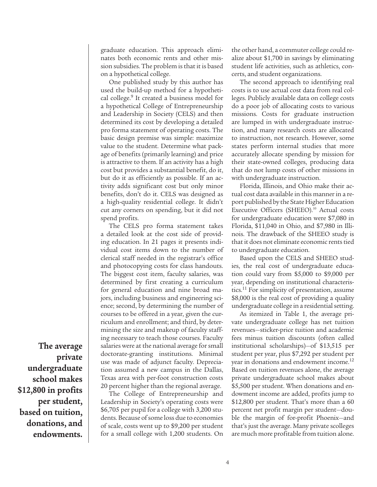graduate education. This approach eliminates both economic rents and other mission subsidies. The problem is that it is based on a hypothetical college.

One published study by this author has used the build-up method for a hypothetical college.<sup>9</sup> It created a business model for a hypothetical College of Entrepreneurship and Leadership in Society (CELS) and then determined its cost by developing a detailed pro forma statement of operating costs. The basic design premise was simple: maximize value to the student. Determine what package of benefits (primarily learning) and price is attractive to them. If an activity has a high cost but provides a substantial benefit, do it, but do it as efficiently as possible. If an activity adds significant cost but only minor benefits, don't do it. CELS was designed as a high-quality residential college. It didn't cut any corners on spending, but it did not spend profits.

The CELS pro forma statement takes a detailed look at the cost side of providing education. In 21 pages it presents individual cost items down to the number of clerical staff needed in the registrar's office and photocopying costs for class handouts. The biggest cost item, faculty salaries, was determined by first creating a curriculum for general education and nine broad majors, including business and engineering science; second, by determining the number of courses to be offered in a year, given the curriculum and enrollment; and third, by determining the size and makeup of faculty staffing necessary to teach those courses. Faculty salaries were at the national average for small doctorate-granting institutions. Minimal use was made of adjunct faculty. Depreciation assumed a new campus in the Dallas, Texas area with per-foot construction costs 20 percent higher than the regional average.

The College of Entrepreneurship and Leadership in Society's operating costs were \$6,705 per pupil for a college with 3,200 students. Because of some loss due to economies of scale, costs went up to \$9,200 per student for a small college with 1,200 students. On the other hand, a commuter college could realize about \$1,700 in savings by eliminating student life activities, such as athletics, concerts, and student organizations.

The second approach to identifying real costs is to use actual cost data from real colleges. Publicly available data on college costs do a poor job of allocating costs to various missions. Costs for graduate instruction are lumped in with undergraduate instruction, and many research costs are allocated to instruction, not research. However, some states perform internal studies that more accurately allocate spending by mission for their state-owned colleges, producing data that do not lump costs of other missions in with undergraduate instruction.

Florida, Illinois, and Ohio make their actual cost data available in this manner in a report published by the State Higher Education Executive Officers (SHEEO).<sup>10</sup> Actual costs for undergraduate education were \$7,080 in Florida, \$11,040 in Ohio, and \$7,980 in Illinois. The drawback of the SHEEO study is that it does not eliminate economic rents tied to undergraduate education.

Based upon the CELS and SHEEO studies, the real cost of undergraduate education could vary from \$5,000 to \$9,000 per year, depending on institutional characteristics.<sup>11</sup> For simplicity of presentation, assume \$8,000 is the real cost of providing a quality undergraduate college in a residential setting.

As itemized in Table 1, the average private undergraduate college has net tuition revenues—sticker-price tuition and academic fees minus tuition discounts (often called institutional scholarships)—of \$13,515 per student per year, plus \$7,292 per student per year in donations and endowment income.<sup>12</sup> Based on tuition revenues alone, the average private undergraduate school makes about \$5,500 per student. When donations and endowment income are added, profits jump to \$12,800 per student. That's more than a 60 percent net profit margin per student—double the margin of for-profit Phoenix—and that's just the average. Many private scolleges are much more profitable from tuition alone.

**The average private undergraduate school makes \$12,800 in profits per student, based on tuition, donations, and endowments.**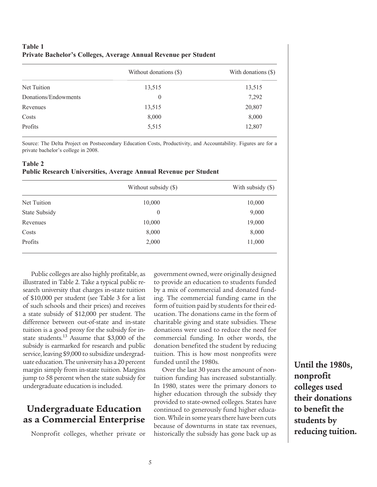#### **Table 1 Private Bachelor's Colleges, Average Annual Revenue per Student**

|                      | Without donations (\$) | With donations (\$) |  |
|----------------------|------------------------|---------------------|--|
| Net Tuition          | 13,515                 | 13,515              |  |
| Donations/Endowments | $\theta$               | 7,292               |  |
| Revenues             | 13,515                 | 20,807              |  |
| Costs                | 8,000                  | 8,000               |  |
| Profits              | 5,515                  | 12,807              |  |
|                      |                        |                     |  |

Source: The Delta Project on Postsecondary Education Costs, Productivity, and Accountability. Figures are for a private bachelor's college in 2008.

#### **Table 2 Public Research Universities, Average Annual Revenue per Student**

|               | Without subsidy (\$) | With subsidy $(\$)$ |
|---------------|----------------------|---------------------|
| Net Tuition   | 10,000               | 10,000              |
| State Subsidy | $\theta$             | 9,000               |
| Revenues      | 10,000               | 19,000              |
| Costs         | 8,000                | 8,000               |
| Profits       | 2,000                | 11,000              |

Public colleges are also highly profitable, as illustrated in Table 2. Take a typical public research university that charges in-state tuition of \$10,000 per student (see Table 3 for a list of such schools and their prices) and receives a state subsidy of \$12,000 per student. The difference between out-of-state and in-state tuition is a good proxy for the subsidy for instate students.13 Assume that \$3,000 of the subsidy is earmarked for research and public service, leaving \$9,000 to subsidize undergraduate education. The university has a 20 percent margin simply from in-state tuition. Margins jump to 58 percent when the state subsidy for undergraduate education is included.

# **Undergraduate Education as a Commercial Enterprise**

Nonprofit colleges, whether private or

government owned, were originally designed to provide an education to students funded by a mix of commercial and donated funding. The commercial funding came in the form of tuition paid by students for their education. The donations came in the form of charitable giving and state subsidies. These donations were used to reduce the need for commercial funding. In other words, the donation benefited the student by reducing tuition. This is how most nonprofits were funded until the 1980s.

Over the last 30 years the amount of nontuition funding has increased substantially. In 1980, states were the primary donors to higher education through the subsidy they provided to state-owned colleges. States have continued to generously fund higher education. While in some years there have been cuts because of downturns in state tax revenues, historically the subsidy has gone back up as

**Until the 1980s, nonprofit colleges used their donations to benefit the students by reducing tuition.**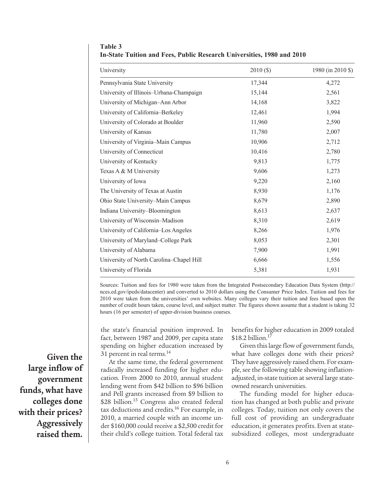| University                               | 2010(S) | 1980 (in 2010 \$) |
|------------------------------------------|---------|-------------------|
| Pennsylvania State University            | 17,344  | 4,272             |
| University of Illinois-Urbana-Champaign  | 15,144  | 2,561             |
| University of Michigan-Ann Arbor         | 14,168  | 3,822             |
| University of California-Berkeley        | 12,461  | 1,994             |
| University of Colorado at Boulder        | 11,960  | 2,590             |
| University of Kansas                     | 11,780  | 2,007             |
| University of Virginia-Main Campus       | 10,906  | 2,712             |
| University of Connecticut                | 10,416  | 2,780             |
| University of Kentucky                   | 9,813   | 1,775             |
| Texas A & M University                   | 9,606   | 1,273             |
| University of Iowa                       | 9,220   | 2,160             |
| The University of Texas at Austin        | 8,930   | 1,176             |
| Ohio State University-Main Campus        | 8,679   | 2,890             |
| Indiana University-Bloomington           | 8,613   | 2,637             |
| University of Wisconsin-Madison          | 8,310   | 2,619             |
| University of California-Los Angeles     | 8,266   | 1,976             |
| University of Maryland-College Park      | 8,053   | 2,301             |
| University of Alabama                    | 7,900   | 1,991             |
| University of North Carolina-Chapel Hill | 6,666   | 1,556             |
| University of Florida                    | 5,381   | 1,931             |

**Table 3 In-State Tuition and Fees, Public Research Universities, 1980 and 2010** 

Sources: Tuition and fees for 1980 were taken from the Integrated Postsecondary Education Data System (http:// nces.ed.gov/ipeds/datacenter) and converted to 2010 dollars using the Consumer Price Index. Tuition and fees for 2010 were taken from the universities' own websites. Many colleges vary their tuition and fees based upon the number of credit hours taken, course level, and subject matter. The figures shown assume that a student is taking 32 hours (16 per semester) of upper-division business courses.

the state's financial position improved. In fact, between 1987 and 2009, per capita state spending on higher education increased by 31 percent in real terms.<sup>14</sup>

At the same time, the federal government radically increased funding for higher education. From 2000 to 2010, annual student lending went from \$42 billion to \$96 billion and Pell grants increased from \$9 billion to \$28 billion.<sup>15</sup> Congress also created federal tax deductions and credits.<sup>16</sup> For example, in 2010, a married couple with an income under \$160,000 could receive a \$2,500 credit for their child's college tuition. Total federal tax benefits for higher education in 2009 totaled  $$18.2$  billion.<sup>17</sup>

Given this large flow of government funds, what have colleges done with their prices? They have aggressively raised them. For example, see the following table showing inflationadjusted, in-state tuition at several large stateowned research universities.

The funding model for higher education has changed at both public and private colleges. Today, tuition not only covers the full cost of providing an undergraduate education, it generates profits. Even at statesubsidized colleges, most undergraduate

**Given the large inflow of government funds, what have colleges done with their prices? Aggressively raised them.**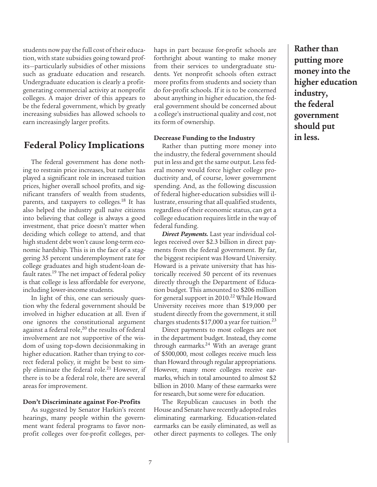students now pay the full cost of their education, with state subsidies going toward profits—particularly subsidies of other missions such as graduate education and research. Undergraduate education is clearly a profitgenerating commercial activity at nonprofit colleges. A major driver of this appears to be the federal government, which by greatly increasing subsidies has allowed schools to earn increasingly larger profits.

### **Federal Policy Implications**

The federal government has done nothing to restrain price increases, but rather has played a significant role in increased tuition prices, higher overall school profits, and significant transfers of wealth from students, parents, and taxpayers to colleges.<sup>18</sup> It has also helped the industry gull naïve citizens into believing that college is always a good investment, that price doesn't matter when deciding which college to attend, and that high student debt won't cause long-term economic hardship. This is in the face of a staggering 35 percent underemployment rate for college graduates and high student-loan default rates.<sup>19</sup> The net impact of federal policy is that college is less affordable for everyone, including lower-income students.

In light of this, one can seriously question why the federal government should be involved in higher education at all. Even if one ignores the constitutional argument against a federal role,<sup>20</sup> the results of federal involvement are not supportive of the wisdom of using top-down decisionmaking in higher education. Rather than trying to correct federal policy, it might be best to simply eliminate the federal role.<sup>21</sup> However, if there is to be a federal role, there are several areas for improvement.

#### **Don't Discriminate against For-Profits**

As suggested by Senator Harkin's recent hearings, many people within the government want federal programs to favor nonprofit colleges over for-profit colleges, perhaps in part because for-profit schools are forthright about wanting to make money from their services to undergraduate students. Yet nonprofit schools often extract more profits from students and society than do for-profit schools. If it is to be concerned about anything in higher education, the federal government should be concerned about a college's instructional quality and cost, not its form of ownership.

#### **Decrease Funding to the Industry**

Rather than putting more money into the industry, the federal government should put in less and get the same output. Less federal money would force higher college productivity and, of course, lower government spending. And, as the following discussion of federal higher-education subsidies will illustrate, ensuring that all qualified students, regardless of their economic status, can get a college education requires little in the way of federal funding.

*Direct Payments.* Last year individual colleges received over \$2.3 billion in direct payments from the federal government. By far, the biggest recipient was Howard University. Howard is a private university that has historically received 50 percent of its revenues directly through the Department of Education budget. This amounted to \$206 million for general support in 2010.<sup>22</sup> While Howard University receives more than \$19,000 per student directly from the government, it still charges students  $$17,000$  a year for tuition.<sup>23</sup>

Direct payments to most colleges are not in the department budget. Instead, they come through earmarks.<sup>24</sup> With an average grant of \$500,000, most colleges receive much less than Howard through regular appropriations. However, many more colleges receive earmarks, which in total amounted to almost \$2 billion in 2010. Many of these earmarks were for research, but some were for education.

The Republican caucuses in both the House and Senate have recently adopted rules eliminating earmarking. Education-related earmarks can be easily eliminated, as well as other direct payments to colleges. The only **Rather than putting more money into the higher education industry, the federal government should put in less.**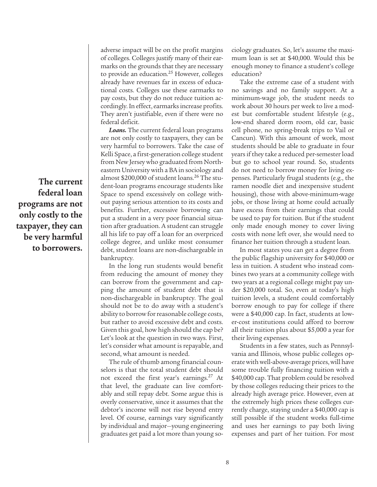**The current federal loan programs are not only costly to the taxpayer, they can be very harmful to borrowers.**

adverse impact will be on the profit margins of colleges. Colleges justify many of their earmarks on the grounds that they are necessary to provide an education.<sup>25</sup> However, colleges already have revenues far in excess of educational costs. Colleges use these earmarks to pay costs, but they do not reduce tuition accordingly. In effect, earmarks increase profits. They aren't justifiable, even if there were no federal deficit.

*Loans.* The current federal loan programs are not only costly to taxpayers, they can be very harmful to borrowers. Take the case of Kelli Space, a first-generation college student from New Jersey who graduated from Northeastern University with a BA in sociology and almost \$200,000 of student loans.26 The student-loan programs encourage students like Space to spend excessively on college without paying serious attention to its costs and benefits. Further, excessive borrowing can put a student in a very poor financial situation after graduation. A student can struggle all his life to pay off a loan for an overpriced college degree, and unlike most consumer debt, student loans are non-dischargeable in bankruptcy.

In the long run students would benefit from reducing the amount of money they can borrow from the government and capping the amount of student debt that is non-dischargeable in bankruptcy. The goal should not be to do away with a student's ability to borrow for reasonable college costs, but rather to avoid excessive debt and costs. Given this goal, how high should the cap be? Let's look at the question in two ways. First, let's consider what amount is repayable, and second, what amount is needed.

The rule of thumb among financial counselors is that the total student debt should not exceed the first year's earnings.<sup>27</sup> At that level, the graduate can live comfortably and still repay debt. Some argue this is overly conservative, since it assumes that the debtor's income will not rise beyond entry level. Of course, earnings vary significantly by individual and major—young engineering graduates get paid a lot more than young sociology graduates. So, let's assume the maximum loan is set at \$40,000. Would this be enough money to finance a student's college education?

Take the extreme case of a student with no savings and no family support. At a minimum-wage job, the student needs to work about 30 hours per week to live a modest but comfortable student lifestyle (e.g., low-end shared dorm room, old car, basic cell phone, no spring-break trips to Vail or Cancun). With this amount of work, most students should be able to graduate in four years if they take a reduced per-semester load but go to school year round. So, students do not need to borrow money for living expenses. Particularly frugal students (e.g., the ramen noodle diet and inexpensive student housing), those with above-minimum-wage jobs, or those living at home could actually have excess from their earnings that could be used to pay for tuition. But if the student only made enough money to cover living costs with none left over, she would need to finance her tuition through a student loan.

In most states you can get a degree from the public flagship university for \$40,000 or less in tuition. A student who instead combines two years at a community college with two years at a regional college might pay under \$20,000 total. So, even at today's high tuition levels, a student could comfortably borrow enough to pay for college if there were a \$40,000 cap. In fact, students at lower-cost institutions could afford to borrow all their tuition plus about \$5,000 a year for their living expenses.

Students in a few states, such as Pennsylvania and Illinois, whose public colleges operate with well-above-average prices, will have some trouble fully financing tuition with a \$40,000 cap. That problem could be resolved by those colleges reducing their prices to the already high average price. However, even at the extremely high prices these colleges currently charge, staying under a \$40,000 cap is still possible if the student works full-time and uses her earnings to pay both living expenses and part of her tuition. For most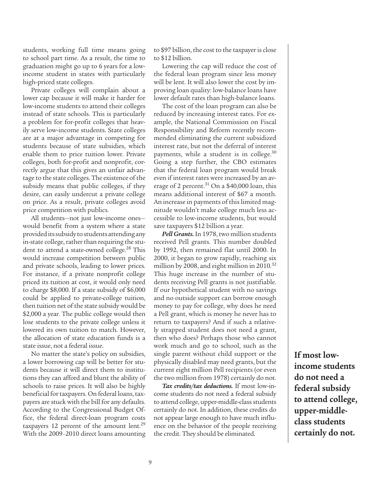students, working full time means going to school part time. As a result, the time to graduation might go up to 6 years for a lowincome student in states with particularly high-priced state colleges.

Private colleges will complain about a lower cap because it will make it harder for low-income students to attend their colleges instead of state schools. This is particularly a problem for for-profit colleges that heavily serve low-income students. State colleges are at a major advantage in competing for students because of state subsidies, which enable them to price tuition lower. Private colleges, both for-profit and nonprofit, correctly argue that this gives an unfair advantage to the state colleges. The existence of the subsidy means that public colleges, if they desire, can easily undercut a private college on price. As a result, private colleges avoid price competition with publics.

All students—not just low-income ones would benefit from a system where a state provided its subsidy to students attending any in-state college, rather than requiring the student to attend a state-owned college.<sup>28</sup> This would increase competition between public and private schools, leading to lower prices. For instance, if a private nonprofit college priced its tuition at cost, it would only need to charge \$8,000. If a state subsidy of \$6,000 could be applied to private-college tuition, then tuition net of the state subsidy would be \$2,000 a year. The public college would then lose students to the private college unless it lowered its own tuition to match. However, the allocation of state education funds is a state issue, not a federal issue.

No matter the state's policy on subsidies, a lower borrowing cap will be better for students because it will direct them to institutions they can afford and blunt the ability of schools to raise prices. It will also be highly beneficial for taxpayers. On federal loans, taxpayers are stuck with the bill for any defaults. According to the Congressional Budget Office, the federal direct-loan program costs taxpayers 12 percent of the amount lent.<sup>29</sup> With the 2009–2010 direct loans amounting to \$97 billion, the cost to the taxpayer is close to \$12 billion.

Lowering the cap will reduce the cost of the federal loan program since less money will be lent. It will also lower the cost by improving loan quality: low-balance loans have lower default rates than high-balance loans.

The cost of the loan program can also be reduced by increasing interest rates. For example, the National Commission on Fiscal Responsibility and Reform recently recommended eliminating the current subsidized interest rate, but not the deferral of interest payments, while a student is in college.<sup>30</sup> Going a step further, the CBO estimates that the federal loan program would break even if interest rates were increased by an average of 2 percent.<sup>31</sup> On a \$40,000 loan, this means additional interest of \$67 a month. An increase in payments of this limited magnitude wouldn't make college much less accessible to low-income students, but would save taxpayers \$12 billion a year.

*Pell Grants.* In 1978, two million students received Pell grants. This number doubled by 1992, then remained flat until 2000. In 2000, it began to grow rapidly, reaching six million by 2008, and eight million in 2010.<sup>32</sup> This huge increase in the number of students receiving Pell grants is not justifiable. If our hypothetical student with no savings and no outside support can borrow enough money to pay for college, why does he need a Pell grant, which is money he never has to return to taxpayers? And if such a relatively strapped student does not need a grant, then who does? Perhaps those who cannot work much and go to school, such as the single parent without child support or the physically disabled may need grants, but the current eight million Pell recipients (or even the two million from 1978) certainly do not.

*Tax credits/tax deductions.* If most low-income students do not need a federal subsidy to attend college, upper-middle-class students certainly do not. In addition, these credits do not appear large enough to have much influence on the behavior of the people receiving the credit. They should be eliminated.

**If most lowincome students do not need a federal subsidy to attend college, upper-middleclass students certainly do not.**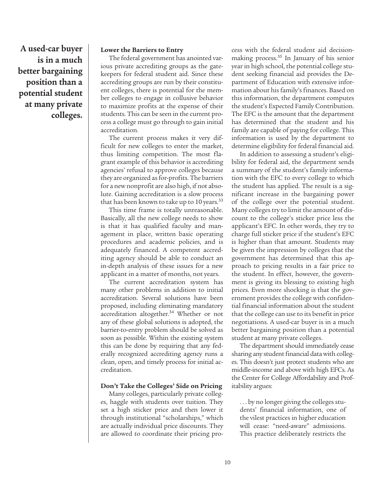**A used-car buyer is in a much better bargaining position than a potential student at many private colleges.**

#### **Lower the Barriers to Entry**

The federal government has anointed various private accrediting groups as the gatekeepers for federal student aid. Since these accrediting groups are run by their constituent colleges, there is potential for the member colleges to engage in collusive behavior to maximize profits at the expense of their students. This can be seen in the current process a college must go through to gain initial accreditation.

The current process makes it very difficult for new colleges to enter the market, thus limiting competition. The most flagrant example of this behavior is accrediting agencies' refusal to approve colleges because they are organized as for-profits. The barriers for a new nonprofit are also high, if not absolute. Gaining accreditation is a slow process that has been known to take up to 10 years.<sup>33</sup>

This time frame is totally unreasonable. Basically, all the new college needs to show is that it has qualified faculty and management in place, written basic operating procedures and academic policies, and is adequately financed. A competent accrediting agency should be able to conduct an in-depth analysis of these issues for a new applicant in a matter of months, not years.

The current accreditation system has many other problems in addition to initial accreditation. Several solutions have been proposed, including eliminating mandatory accreditation altogether.<sup>34</sup> Whether or not any of these global solutions is adopted, the barrier-to-entry problem should be solved as soon as possible. Within the existing system this can be done by requiring that any federally recognized accrediting agency runs a clean, open, and timely process for initial accreditation.

#### **Don't Take the Colleges' Side on Pricing**

Many colleges, particularly private colleges, haggle with students over tuition. They set a high sticker price and then lower it through institutional "scholarships," which are actually individual price discounts. They are allowed to coordinate their pricing process with the federal student aid decisionmaking process.35 In January of his senior year in high school, the potential college student seeking financial aid provides the Department of Education with extensive information about his family's finances. Based on this information, the department computes the student's Expected Family Contribution. The EFC is the amount that the department has determined that the student and his family are capable of paying for college. This information is used by the department to determine eligibility for federal financial aid.

In addition to assessing a student's eligibility for federal aid, the department sends a summary of the student's family information with the EFC to every college to which the student has applied. The result is a significant increase in the bargaining power of the college over the potential student. Many colleges try to limit the amount of discount to the college's sticker price less the applicant's EFC. In other words, they try to charge full sticker price if the student's EFC is higher than that amount. Students may be given the impression by colleges that the government has determined that this approach to pricing results in a fair price to the student. In effect, however, the government is giving its blessing to existing high prices. Even more shocking is that the government provides the college with confidential financial information about the student that the college can use to its benefit in price negotiations. A used-car buyer is in a much better bargaining position than a potential student at many private colleges.

The department should immediately cease sharing any student financial data with colleges. This doesn't just protect students who are middle-income and above with high EFCs. As the Center for College Affordability and Profitability argues:

. . . by no longer giving the colleges students' financial information, one of the vilest practices in higher education will cease: "need-aware" admissions. This practice deliberately restricts the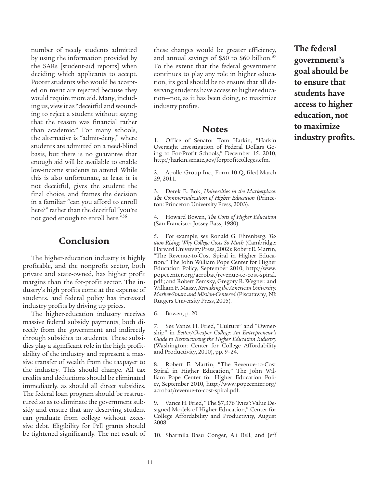number of needy students admitted by using the information provided by the SARs [student-aid reports] when deciding which applicants to accept. Poorer students who would be accepted on merit are rejected because they would require more aid. Many, including us, view it as "deceitful and wounding to reject a student without saying that the reason was financial rather than academic." For many schools, the alternative is "admit-deny," where students are admitted on a need-blind basis, but there is no guarantee that enough aid will be available to enable low-income students to attend. While this is also unfortunate, at least it is not deceitful, gives the student the final choice, and frames the decision in a familiar "can you afford to enroll here?" rather than the deceitful "you're not good enough to enroll here."36

### **Conclusion**

The higher-education industry is highly profitable, and the nonprofit sector, both private and state-owned, has higher profit margins than the for-profit sector. The industry's high profits come at the expense of students, and federal policy has increased industry profits by driving up prices.

The higher-education industry receives massive federal subsidy payments, both directly from the government and indirectly through subsidies to students. These subsidies play a significant role in the high profitability of the industry and represent a massive transfer of wealth from the taxpayer to the industry. This should change. All tax credits and deductions should be eliminated immediately, as should all direct subsidies. The federal loan program should be restructured so as to eliminate the government subsidy and ensure that any deserving student can graduate from college without excessive debt. Eligibility for Pell grants should be tightened significantly. The net result of these changes would be greater efficiency, and annual savings of \$50 to \$60 billion.<sup>37</sup> To the extent that the federal government continues to play any role in higher education, its goal should be to ensure that all deserving students have access to higher education—not, as it has been doing, to maximize industry profits.

### **Notes**

1. Office of Senator Tom Harkin, "Harkin Oversight Investigation of Federal Dollars Going to For-Profit Schools," December 15, 2010, http://harkin.senate.gov/forprofitcolleges.cfm.

2. Apollo Group Inc., Form 10-Q, filed March 29, 2011.

3. Derek E. Bok, *Universities in the Marketplace: The Commercialization of Higher Education* (Princeton: Princeton University Press, 2003).

4. Howard Bowen, *The Costs of Higher Education* (San Francisco: Jossey-Bass, 1980).

5. For example, see Ronald G. Ehrenberg, *Tuition Rising: Why College Costs So Much* (Cambridge: Harvard University Press, 2002); Robert E. Martin, "The Revenue-to-Cost Spiral in Higher Education," The John William Pope Center for Higher Education Policy, September 2010, http://www. popecenter.org/acrobat/revenue-to-cost-spiral. pdf.; and Robert Zemsky, Gregory R. Wegner, and William F. Massy, *Remaking the American University: Market-Smart and Mission-Centered* (Piscataway, NJ: Rutgers University Press, 2005).

6. Bowen, p. 20.

7. See Vance H. Fried, "Culture" and "Ownership" in *Better/Cheaper College: An Entrepreneur's Guide to Restructuring the Higher Education Industry* (Washington: Center for College Affordability and Productivity, 2010), pp. 9–24.

8. Robert E. Martin, "The Revenue-to-Cost Spiral in Higher Education," The John William Pope Center for Higher Education Policy, September 2010, http://www.popecenter.org/ acrobat/revenue-to-cost-spiral.pdf.

9. Vance H. Fried, "The \$7,376 'Ivies': Value Designed Models of Higher Education," Center for College Affordability and Productivity, August 2008.

10. Sharmila Basu Conger, Ali Bell, and Jeff

**The federal government's goal should be to ensure that students have access to higher education, not to maximize industry profits.**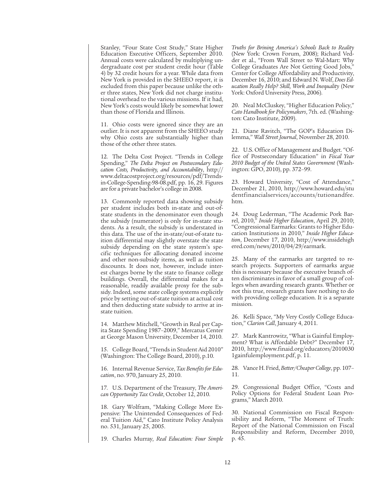Stanley, "Four State Cost Study," State Higher Education Executive Officers, September 2010. Annual costs were calculated by multiplying undergraduate cost per student credit hour (Table 4) by 32 credit hours for a year. While data from New York is provided in the SHEEO report, it is excluded from this paper because unlike the other three states, New York did not charge institutional overhead to the various missions. If it had, New York's costs would likely be somewhat lower than those of Florida and Illinois.

11. Ohio costs were ignored since they are an outlier. It is not apparent from the SHEEO study why Ohio costs are substantially higher than those of the other three states.

12. The Delta Cost Project. "Trends in College Spending," *The Delta Project on Postsecondary Education Costs, Productivity, and Accountability*, http:// www.deltacostproject.org/resources/pdf/Trendsin-College-Spending-98-08.pdf, pp. 16, 29. Figures are for a private bachelor's college in 2008.

13. Commonly reported data showing subsidy per student includes both in-state and out-ofstate students in the denominator even though the subsidy (numerator) is only for in-state students. As a result, the subsidy is understated in this data. The use of the in-state/out-of-state tuition differential may slightly overstate the state subsidy depending on the state system's specific techniques for allocating donated income and other non-subsidy items, as well as tuition discounts. It does not, however, include interest charges borne by the state to finance college buildings. Overall, the differential makes for a reasonable, readily available proxy for the subsidy. Indeed, some state college systems explicitly price by setting out-of-state tuition at actual cost and then deducting state subsidy to arrive at instate tuition.

14. Matthew Mitchell, "Growth in Real per Capita State Spending 1987–2009," Mercatus Center at George Mason University, December 14, 2010.

15. College Board, "Trends in Student Aid 2010" (Washington: The College Board, 2010), p.10.

16. Internal Revenue Service, *Tax Benefits for Education*, no. 970, January 25, 2010.

17. U.S. Department of the Treasury, *The American Opportunity Tax Credit*, October 12, 2010.

18. Gary Wolfram, "Making College More Expensive: The Unintended Consequences of Federal Tuition Aid," Cato Institute Policy Analysis no. 531, January 25, 2005.

19. Charles Murray, *Real Education: Four Simple* 

*Truths for Brining America's Schools Back to Reality* (New York: Crown Forum, 2008); Richard Vedder et al., "From Wall Street to Wal-Mart: Why College Graduates Are Not Getting Good Jobs," Center for College Affordability and Productivity, December 16, 2010; and Edward N. Wolf, *Does Education Really Help? Skill, Work and Inequality* (New York: Oxford University Press, 2006).

20. Neal McCluskey, "Higher Education Policy," *Cato Handbook for Policymakers*, 7th. ed. (Washington: Cato Institute, 2009).

21. Diane Ravitch, "The GOP's Education Dilemma," *Wall Street Journal*, November 28, 2010.

22. U.S. Office of Management and Budget. "Office of Postsecondary Education" in *Fiscal Year 2010 Budget of the United States Government* (Washington: GPO, 2010), pp. 372–99.

23. Howard University, "Cost of Attendance," December 21, 2010, http://www.howard.edu/stu dentfinancialservices/accounts/tutionandfee. htm.

24. Doug Lederman, "The Academic Pork Barrel, 2010," *Inside Higher Education*, April 29, 2010; "Congressional Earmarks: Grants to Higher Education Institutions in 2010," *Inside Higher Education*, December 17, 2010, http://www.insidehigh ered.com/news/2010/04/29/earmark.

25. Many of the earmarks are targeted to research projects. Supporters of earmarks argue this is necessary because the executive branch often discriminates in favor of a small group of colleges when awarding research grants. Whether or not this true, research grants have nothing to do with providing college education. It is a separate mission.

26. Kelli Space, "My Very Costly College Education," *Clarion Call*, January 4, 2011.

27. Mark Kantrowitz, "What is Gainful Employment? What is Affordable Debt?" December 17, 2010, http://www.finaid.org/educators/2010030 1gainfulemployment.pdf, p. 11.

28. Vance H. Fried, *Better/Cheaper College*, pp. 107– 11.

29. Congressional Budget Office, "Costs and Policy Options for Federal Student Loan Programs," March 2010.

30. National Commission on Fiscal Responsibility and Reform, "The Moment of Truth: Report of the National Commission on Fiscal Responsibility and Reform, December 2010, p. 45.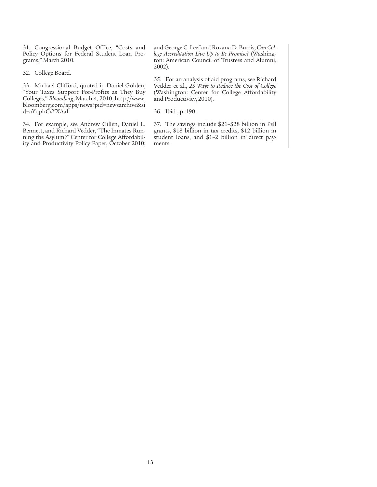31. Congressional Budget Office, "Costs and Policy Options for Federal Student Loan Programs," March 2010.

32. College Board.

33. Michael Clifford, quoted in Daniel Golden, "Your Taxes Support For-Profits as They Buy Colleges," *Bloomberg*, March 4, 2010, http://www. bloomberg.com/apps/news?pid=newsarchive&si d=aYqphCvYXAaI.

34. For example, see Andrew Gillen, Daniel L. Bennett, and Richard Vedder, "The Inmates Running the Asylum?" Center for College Affordability and Productivity Policy Paper, October 2010; and George C. Leef and Roxana D. Burris, *Can College Accreditation Live Up to Its Promise?* (Washington: American Council of Trustees and Alumni, 2002).

35. For an analysis of aid programs, see Richard Vedder et al., *25 Ways to Reduce the Cost of College* (Washington: Center for College Affordability and Productivity, 2010).

36. Ibid., p. 190.

37. The savings include \$21–\$28 billion in Pell grants, \$18 billion in tax credits, \$12 billion in student loans, and \$1–2 billion in direct payments.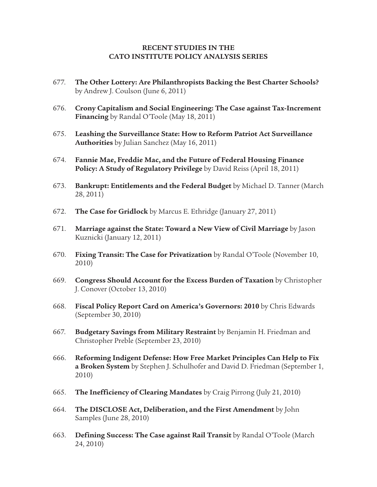#### **RECENT STUDIES IN THE CATO INSTITUTE POLICY ANALYSIS SERIES**

- 677. **The Other Lottery: Are Philanthropists Backing the Best Charter Schools?** by Andrew J. Coulson (June 6, 2011)
- 676. **Crony Capitalism and Social Engineering: The Case against Tax-Increment Financing** by Randal O'Toole (May 18, 2011)
- 675. **Leashing the Surveillance State: How to Reform Patriot Act Surveillance Authorities** by Julian Sanchez (May 16, 2011)
- 674. **Fannie Mae, Freddie Mac, and the Future of Federal Housing Finance Policy: A Study of Regulatory Privilege** by David Reiss (April 18, 2011)
- 673. **Bankrupt: Entitlements and the Federal Budget** by Michael D. Tanner (March 28, 2011)
- 672. **The Case for Gridlock** by Marcus E. Ethridge (January 27, 2011)
- 671. **Marriage against the State: Toward a New View of Civil Marriage** by Jason Kuznicki (January 12, 2011)
- 670. **Fixing Transit: The Case for Privatization** by Randal O'Toole (November 10, 2010)
- 669. **Congress Should Account for the Excess Burden of Taxation** by Christopher J. Conover (October 13, 2010)
- 668. **Fiscal Policy Report Card on America's Governors: 2010** by Chris Edwards (September 30, 2010)
- 667. **Budgetary Savings from Military Restraint** by Benjamin H. Friedman and Christopher Preble (September 23, 2010)
- 666. **Reforming Indigent Defense: How Free Market Principles Can Help to Fix a Broken System** by Stephen J. Schulhofer and David D. Friedman (September 1, 2010)
- 665. **The Inefficiency of Clearing Mandates** by Craig Pirrong (July 21, 2010)
- 664. **The DISCLOSE Act, Deliberation, and the First Amendment** by John Samples (June 28, 2010)
- 663. **Defining Success: The Case against Rail Transit** by Randal O'Toole (March 24, 2010)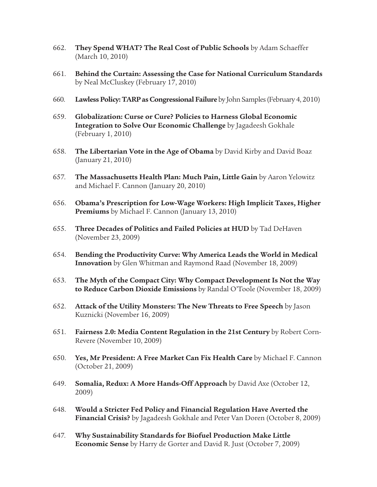- 662. **They Spend WHAT? The Real Cost of Public Schools** by Adam Schaeffer (March 10, 2010)
- 661. **Behind the Curtain: Assessing the Case for National Curriculum Standards** by Neal McCluskey (February 17, 2010)
- 660. **Lawless Policy: TARP as Congressional Failure** by John Samples (February 4, 2010)
- 659. **Globalization: Curse or Cure? Policies to Harness Global Economic Integration to Solve Our Economic Challenge** by Jagadeesh Gokhale (February 1, 2010)
- 658. **The Libertarian Vote in the Age of Obama** by David Kirby and David Boaz (January 21, 2010)
- 657. **The Massachusetts Health Plan: Much Pain, Little Gain** by Aaron Yelowitz and Michael F. Cannon (January 20, 2010)
- 656. **Obama's Prescription for Low-Wage Workers: High Implicit Taxes, Higher Premiums** by Michael F. Cannon (January 13, 2010)
- 655. **Three Decades of Politics and Failed Policies at HUD** by Tad DeHaven (November 23, 2009)
- 654. **Bending the Productivity Curve: Why America Leads the World in Medical Innovation** by Glen Whitman and Raymond Raad (November 18, 2009)
- 653. **The Myth of the Compact City: Why Compact Development Is Not the Way to Reduce Carbon Dioxide Emissions** by Randal O'Toole (November 18, 2009)
- 652. **Attack of the Utility Monsters: The New Threats to Free Speech** by Jason Kuznicki (November 16, 2009)
- 651. **Fairness 2.0: Media Content Regulation in the 21st Century** by Robert Corn-Revere (November 10, 2009)
- 650. **Yes, Mr President: A Free Market Can Fix Health Care** by Michael F. Cannon (October 21, 2009)
- 649. **Somalia, Redux: A More Hands-Off Approach** by David Axe (October 12, 2009)
- 648. **Would a Stricter Fed Policy and Financial Regulation Have Averted the Financial Crisis?** by Jagadeesh Gokhale and Peter Van Doren (October 8, 2009)
- 647. **Why Sustainability Standards for Biofuel Production Make Little Economic Sense** by Harry de Gorter and David R. Just (October 7, 2009)